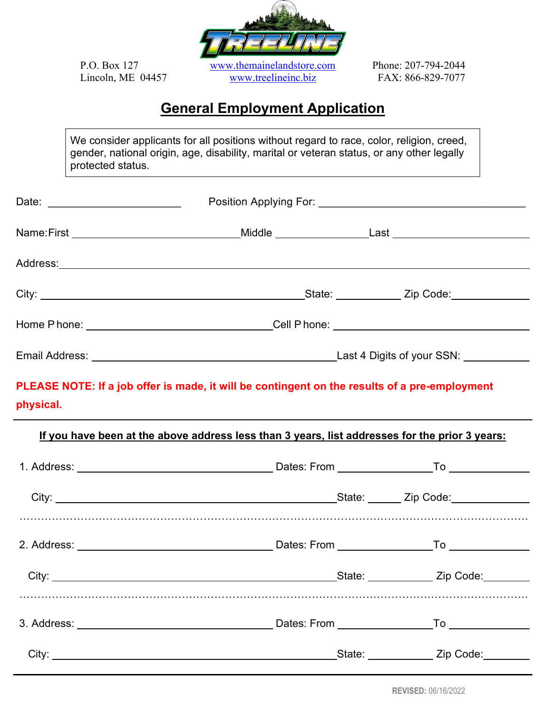

## **General Employment Application**

We consider applicants for all positions without regard to race, color, religion, creed, gender, national origin, age, disability, marital or veteran status, or any other legally protected status.

| Date: __________________________                                                                           |  |                                   |
|------------------------------------------------------------------------------------------------------------|--|-----------------------------------|
| Name:First _________________________________Middle ____________________Last ________________________       |  |                                   |
|                                                                                                            |  |                                   |
|                                                                                                            |  |                                   |
| Home Phone: __________________________________Cell Phone: ______________________                           |  |                                   |
|                                                                                                            |  |                                   |
| PLEASE NOTE: If a job offer is made, it will be contingent on the results of a pre-employment<br>physical. |  |                                   |
| If you have been at the above address less than 3 years, list addresses for the prior 3 years:             |  |                                   |
|                                                                                                            |  |                                   |
|                                                                                                            |  |                                   |
|                                                                                                            |  |                                   |
|                                                                                                            |  | State: <u>Cambridge Zip Code:</u> |
|                                                                                                            |  |                                   |
|                                                                                                            |  |                                   |

**REVISED:** 06/16/2022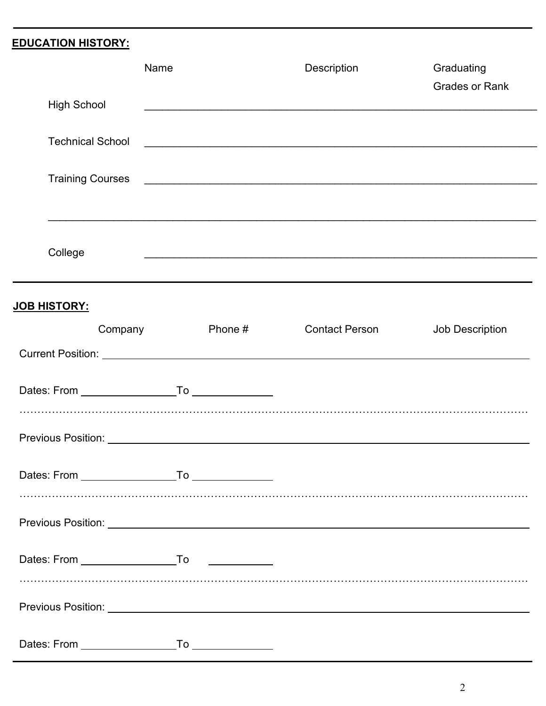## **EDUCATION HISTORY:**

|                                | Name |           | Description           | Graduating            |
|--------------------------------|------|-----------|-----------------------|-----------------------|
| <b>High School</b>             |      |           |                       | <b>Grades or Rank</b> |
| <b>Technical School</b>        |      |           |                       |                       |
| <b>Training Courses</b>        |      |           |                       |                       |
|                                |      |           |                       |                       |
| College                        |      |           |                       |                       |
|                                |      |           |                       |                       |
| <u>JOB HISTORY:</u><br>Company |      | Phone $#$ | <b>Contact Person</b> | Job Description       |
|                                |      |           |                       |                       |
|                                |      |           |                       |                       |
|                                |      |           |                       |                       |
|                                |      |           |                       |                       |
|                                |      |           |                       |                       |
|                                |      |           |                       |                       |
|                                |      |           |                       |                       |
|                                |      |           |                       |                       |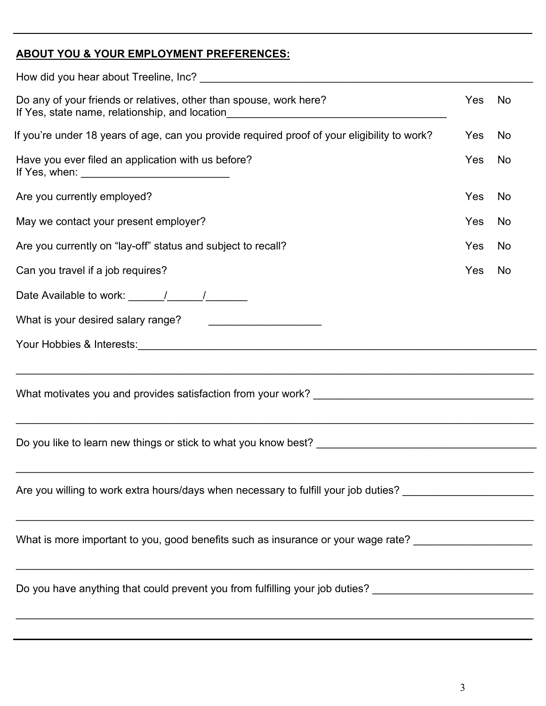## **ABOUT YOU & YOUR EMPLOYMENT PREFERENCES:**

| Do any of your friends or relatives, other than spouse, work here?<br>If Yes, state name, relationship, and location__________________________________      | Yes | No |
|-------------------------------------------------------------------------------------------------------------------------------------------------------------|-----|----|
| If you're under 18 years of age, can you provide required proof of your eligibility to work?                                                                | Yes | No |
| Have you ever filed an application with us before?                                                                                                          | Yes | No |
| Are you currently employed?                                                                                                                                 | Yes | No |
| May we contact your present employer?                                                                                                                       | Yes | No |
| Are you currently on "lay-off" status and subject to recall?                                                                                                | Yes | No |
| Can you travel if a job requires?                                                                                                                           | Yes | No |
|                                                                                                                                                             |     |    |
| What is your desired salary range?<br><u> 1989 - Johann Harry Harry Harry Harry Harry Harry Harry Harry Harry Harry Harry Harry Harry Harry Harry Harry</u> |     |    |
|                                                                                                                                                             |     |    |
|                                                                                                                                                             |     |    |
|                                                                                                                                                             |     |    |
| <u> 1989 - Johann John Stone, markin sanat masjid ayyı bir alan bir alan bir alan bir alan bir alan bir alan bir</u>                                        |     |    |
| Are you willing to work extra hours/days when necessary to fulfill your job duties? _________________________                                               |     |    |
| What is more important to you, good benefits such as insurance or your wage rate? __________________                                                        |     |    |
| Do you have anything that could prevent you from fulfilling your job duties? _____________________________                                                  |     |    |
|                                                                                                                                                             |     |    |